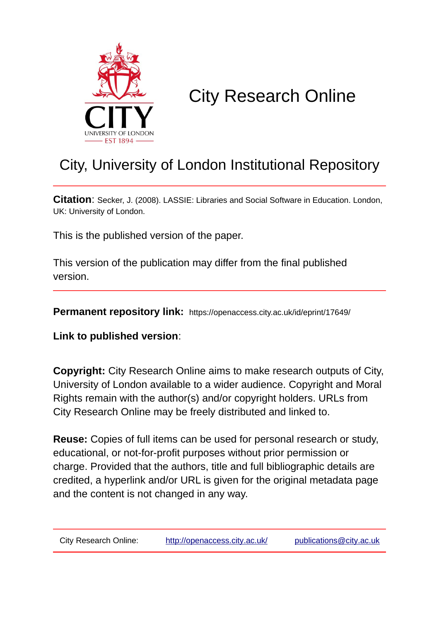

## City Research Online

### City, University of London Institutional Repository

**Citation**: Secker, J. (2008). LASSIE: Libraries and Social Software in Education. London, UK: University of London.

This is the published version of the paper.

This version of the publication may differ from the final published version.

**Permanent repository link:** https://openaccess.city.ac.uk/id/eprint/17649/

**Link to published version**:

**Copyright:** City Research Online aims to make research outputs of City, University of London available to a wider audience. Copyright and Moral Rights remain with the author(s) and/or copyright holders. URLs from City Research Online may be freely distributed and linked to.

**Reuse:** Copies of full items can be used for personal research or study, educational, or not-for-profit purposes without prior permission or charge. Provided that the authors, title and full bibliographic details are credited, a hyperlink and/or URL is given for the original metadata page and the content is not changed in any way.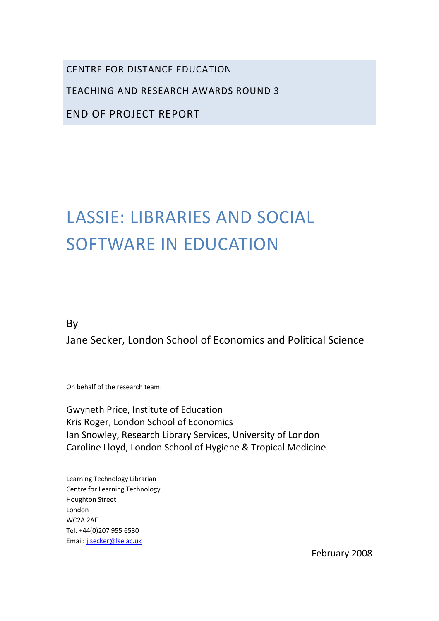CENTRE FOR DISTANCE EDUCATION

TEACHING AND RESEARCH AWARDS ROUND 3

END OF PROJECT REPORT

# LASSIE: LIBRARIES AND SOCIAL SOFTWARE IN EDUCATION

By

Jane Secker, London School of Economics and Political Science

On behalf of the research team:

Gwyneth Price, Institute of Education Kris Roger, London School of Economics Ian Snowley, Research Library Services, University of London Caroline Lloyd, London School of Hygiene & Tropical Medicine

Learning Technology Librarian Centre for Learning Technology Houghton Street London WC2A 2AE Tel: +44(0)207 955 6530 Email: j.secker@lse.ac.uk

February 2008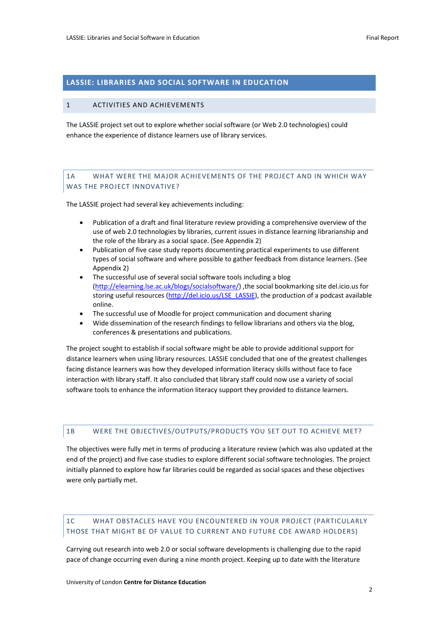#### **LASSIE: LIBRARIES AND SOCIAL SOFTWARE IN EDUCATION**

#### 1 ACTIVITIES AND ACHIEVEMENTS

The LASSIE project set out to explore whether social software (or Web 2.0 technologies) could enhance the experience of distance learners use of library services.

#### 1A WHAT WERE THE MAJOR ACHIEVEMENTS OF THE PROJECT AND IN WHICH WAY WAS THE PROJECT INNOVATIVE?

The LASSIE project had several key achievements including:

- Publication of a draft and final literature review providing a comprehensive overview of the use of web 2.0 technologies by libraries, current issues in distance learning librarianship and the role of the library as a social space. (See Appendix 2)
- Publication of five case study reports documenting practical experiments to use different types of social software and where possible to gather feedback from distance learners. (See Appendix 2)
- The successful use of several social software tools including a blog (http://elearning.lse.ac.uk/blogs/socialsoftware/) ,the social bookmarking site del.icio.us for storing useful resources (http://del.icio.us/LSE\_LASSIE), the production of a podcast available online.
- The successful use of Moodle for project communication and document sharing
- Wide dissemination of the research findings to fellow librarians and others via the blog, conferences & presentations and publications.

The project sought to establish if social software might be able to provide additional support for distance learners when using library resources. LASSIE concluded that one of the greatest challenges facing distance learners was how they developed information literacy skills without face to face interaction with library staff. It also concluded that library staff could now use a variety of social software tools to enhance the information literacy support they provided to distance learners.

#### 1B WERE THE OBJECTIVES/OUTPUTS/PRODUCTS YOU SET OUT TO ACHIEVE MET?

The objectives were fully met in terms of producing a literature review (which was also updated at the end of the project) and five case studies to explore different social software technologies. The project initially planned to explore how far libraries could be regarded as social spaces and these objectives were only partially met.

#### 1C WHAT OBSTACLES HAVE YOU ENCOUNTERED IN YOUR PROJECT (PARTICULARLY THOSE THAT MIGHT BE OF VALUE TO CURRENT AND FUTURE CDE AWARD HOLDERS)

Carrying out research into web 2.0 or social software developments is challenging due to the rapid pace of change occurring even during a nine month project. Keeping up to date with the literature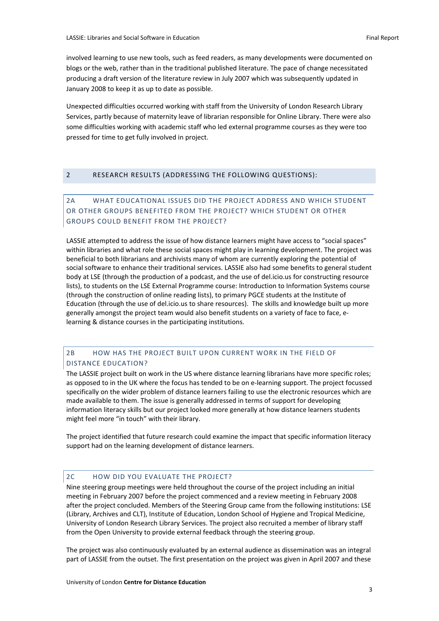involved learning to use new tools, such as feed readers, as many developments were documented on blogs or the web, rather than in the traditional published literature. The pace of change necessitated producing a draft version of the literature review in July 2007 which was subsequently updated in January 2008 to keep it as up to date as possible.

Unexpected difficulties occurred working with staff from the University of London Research Library Services, partly because of maternity leave of librarian responsible for Online Library. There were also some difficulties working with academic staff who led external programme courses as they were too pressed for time to get fully involved in project.

#### 2 RESEARCH RESULTS (ADDRESSING THE FOLLOWING QUESTIONS):

#### 2A WHAT EDUCATIONAL ISSUES DID THE PROJECT ADDRESS AND WHICH STUDENT OR OTHER GROUPS BENEFITED FROM THE PROJECT? WHICH STUDENT OR OTHER GROUPS COULD BENEFIT FROM THE PROJECT?

LASSIE attempted to address the issue of how distance learners might have access to "social spaces" within libraries and what role these social spaces might play in learning development. The project was beneficial to both librarians and archivists many of whom are currently exploring the potential of social software to enhance their traditional services. LASSIE also had some benefits to general student body at LSE (through the production of a podcast, and the use of del.icio.us for constructing resource lists), to students on the LSE External Programme course: Introduction to Information Systems course (through the construction of online reading lists), to primary PGCE students at the Institute of Education (through the use of del.icio.us to share resources). The skills and knowledge built up more generally amongst the project team would also benefit students on a variety of face to face, elearning & distance courses in the participating institutions.

#### 2B HOW HAS THE PROJECT BUILT UPON CURRENT WORK IN THE FIELD OF DISTANCE EDUCATION?

The LASSIE project built on work in the US where distance learning librarians have more specific roles; as opposed to in the UK where the focus has tended to be on e‐learning support. The project focussed specifically on the wider problem of distance learners failing to use the electronic resources which are made available to them. The issue is generally addressed in terms of support for developing information literacy skills but our project looked more generally at how distance learners students might feel more "in touch" with their library.

The project identified that future research could examine the impact that specific information literacy support had on the learning development of distance learners.

#### 2C HOW DID YOU EVALUATE THE PROJECT?

Nine steering group meetings were held throughout the course of the project including an initial meeting in February 2007 before the project commenced and a review meeting in February 2008 after the project concluded. Members of the Steering Group came from the following institutions: LSE (Library, Archives and CLT), Institute of Education, London School of Hygiene and Tropical Medicine, University of London Research Library Services. The project also recruited a member of library staff from the Open University to provide external feedback through the steering group.

The project was also continuously evaluated by an external audience as dissemination was an integral part of LASSIE from the outset. The first presentation on the project was given in April 2007 and these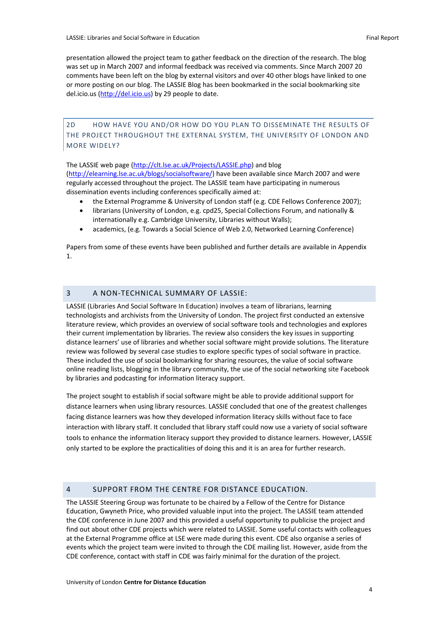presentation allowed the project team to gather feedback on the direction of the research. The blog was set up in March 2007 and informal feedback was received via comments. Since March 2007 20 comments have been left on the blog by external visitors and over 40 other blogs have linked to one or more posting on our blog. The LASSIE Blog has been bookmarked in the social bookmarking site del.icio.us (http://del.icio.us) by 29 people to date.

2D HOW HAVE YOU AND/OR HOW DO YOU PLAN TO DISSEMINATE THE RESULTS OF THE PROJECT THROUGHOUT THE EXTERNAL SYSTEM, THE UNIVERSITY OF LONDON AND MORE WIDELY?

The LASSIE web page (http://clt.lse.ac.uk/Projects/LASSIE.php) and blog (http://elearning.lse.ac.uk/blogs/socialsoftware/) have been available since March 2007 and were regularly accessed throughout the project. The LASSIE team have participating in numerous dissemination events including conferences specifically aimed at:

- the External Programme & University of London staff (e.g. CDE Fellows Conference 2007);
- librarians (University of London, e.g. cpd25, Special Collections Forum, and nationally & internationally e.g. Cambridge University, Libraries without Walls);
- academics, (e.g. Towards a Social Science of Web 2.0, Networked Learning Conference)

Papers from some of these events have been published and further details are available in Appendix 1.

#### 3 A NON‐TECHNICAL SUMMARY OF LASSIE:

LASSIE (Libraries And Social Software In Education) involves a team of librarians, learning technologists and archivists from the University of London. The project first conducted an extensive literature review, which provides an overview of social software tools and technologies and explores their current implementation by libraries. The review also considers the key issues in supporting distance learners' use of libraries and whether social software might provide solutions. The literature review was followed by several case studies to explore specific types of social software in practice. These included the use of social bookmarking for sharing resources, the value of social software online reading lists, blogging in the library community, the use of the social networking site Facebook by libraries and podcasting for information literacy support.

The project sought to establish if social software might be able to provide additional support for distance learners when using library resources. LASSIE concluded that one of the greatest challenges facing distance learners was how they developed information literacy skills without face to face interaction with library staff. It concluded that library staff could now use a variety of social software tools to enhance the information literacy support they provided to distance learners. However, LASSIE only started to be explore the practicalities of doing this and it is an area for further research.

#### 4 SUPPORT FROM THE CENTRE FOR DISTANCE EDUCATION.

The LASSIE Steering Group was fortunate to be chaired by a Fellow of the Centre for Distance Education, Gwyneth Price, who provided valuable input into the project. The LASSIE team attended the CDE conference in June 2007 and this provided a useful opportunity to publicise the project and find out about other CDE projects which were related to LASSIE. Some useful contacts with colleagues at the External Programme office at LSE were made during this event. CDE also organise a series of events which the project team were invited to through the CDE mailing list. However, aside from the CDE conference, contact with staff in CDE was fairly minimal for the duration of the project.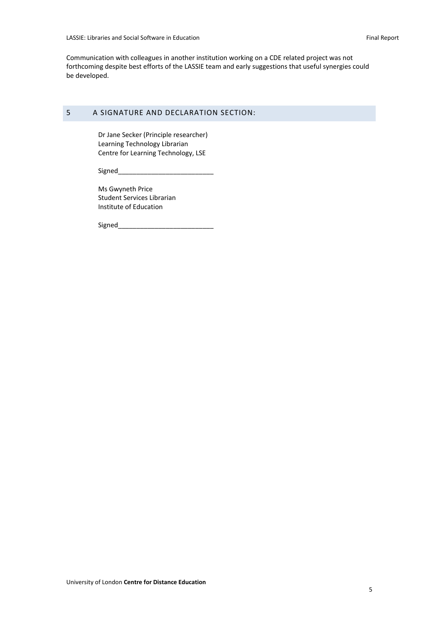Communication with colleagues in another institution working on a CDE related project was not forthcoming despite best efforts of the LASSIE team and early suggestions that useful synergies could be developed.

#### 5 A SIGNATURE AND DECLARATION SECTION:

Dr Jane Secker (Principle researcher) Learning Technology Librarian Centre for Learning Technology, LSE

Signed\_\_\_\_\_\_\_\_\_\_\_\_\_\_\_\_\_\_\_\_\_\_\_\_\_\_

Ms Gwyneth Price Student Services Librarian Institute of Education

Signed\_\_\_\_\_\_\_\_\_\_\_\_\_\_\_\_\_\_\_\_\_\_\_\_\_\_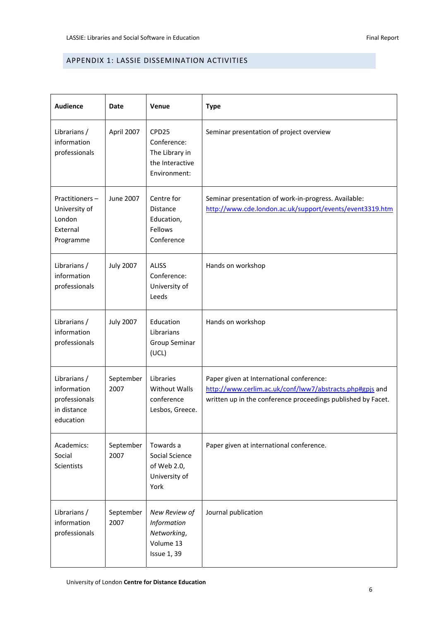#### APPENDIX 1: LASSIE DISSEMINATION ACTIVITIES

| <b>Audience</b>                                                          | Date              | <b>Venue</b>                                                                   | <b>Type</b>                                                                                                                                                          |
|--------------------------------------------------------------------------|-------------------|--------------------------------------------------------------------------------|----------------------------------------------------------------------------------------------------------------------------------------------------------------------|
| Librarians /<br>information<br>professionals                             | April 2007        | CPD25<br>Conference:<br>The Library in<br>the Interactive<br>Environment:      | Seminar presentation of project overview                                                                                                                             |
| Practitioners-<br>University of<br>London<br>External<br>Programme       | June 2007         | Centre for<br><b>Distance</b><br>Education,<br>Fellows<br>Conference           | Seminar presentation of work-in-progress. Available:<br>http://www.cde.london.ac.uk/support/events/event3319.htm                                                     |
| Librarians /<br>information<br>professionals                             | <b>July 2007</b>  | <b>ALISS</b><br>Conference:<br>University of<br>Leeds                          | Hands on workshop                                                                                                                                                    |
| Librarians /<br>information<br>professionals                             | <b>July 2007</b>  | Education<br>Librarians<br>Group Seminar<br>(UCL)                              | Hands on workshop                                                                                                                                                    |
| Librarians /<br>information<br>professionals<br>in distance<br>education | September<br>2007 | Libraries<br><b>Without Walls</b><br>conference<br>Lesbos, Greece.             | Paper given at International conference:<br>http://www.cerlim.ac.uk/conf/lww7/abstracts.php#gpjs and<br>written up in the conference proceedings published by Facet. |
| Academics:<br>Social<br>Scientists                                       | September<br>2007 | Towards a<br>Social Science<br>of Web 2.0,<br>University of<br>York            | Paper given at international conference.                                                                                                                             |
| Librarians /<br>information<br>professionals                             | September<br>2007 | New Review of<br>Information<br>Networking,<br>Volume 13<br><b>Issue 1, 39</b> | Journal publication                                                                                                                                                  |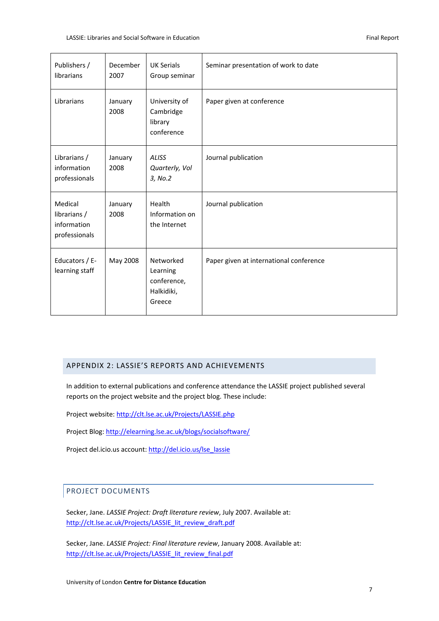| Publishers /<br>librarians                              | December<br>2007 | <b>UK Serials</b><br>Group seminar                           | Seminar presentation of work to date    |
|---------------------------------------------------------|------------------|--------------------------------------------------------------|-----------------------------------------|
| Librarians                                              | January<br>2008  | University of<br>Cambridge<br>library<br>conference          | Paper given at conference               |
| Librarians /<br>information<br>professionals            | January<br>2008  | <b>ALISS</b><br>Quarterly, Vol<br>3, No.2                    | Journal publication                     |
| Medical<br>librarians /<br>information<br>professionals | January<br>2008  | Health<br>Information on<br>the Internet                     | Journal publication                     |
| Educators / E-<br>learning staff                        | May 2008         | Networked<br>Learning<br>conference,<br>Halkidiki,<br>Greece | Paper given at international conference |

#### APPENDIX 2: LASSIE'S REPORTS AND ACHIEVEMENTS

In addition to external publications and conference attendance the LASSIE project published several reports on the project website and the project blog. These include:

Project website: http://clt.lse.ac.uk/Projects/LASSIE.php

Project Blog: http://elearning.lse.ac.uk/blogs/socialsoftware/

Project del.icio.us account: http://del.icio.us/lse\_lassie

#### PROJECT DOCUMENTS

Secker, Jane. *LASSIE Project: Draft literature review*, July 2007. Available at: http://clt.lse.ac.uk/Projects/LASSIE\_lit\_review\_draft.pdf

Secker, Jane. *LASSIE Project: Final literature review*, January 2008. Available at: http://clt.lse.ac.uk/Projects/LASSIE\_lit\_review\_final.pdf